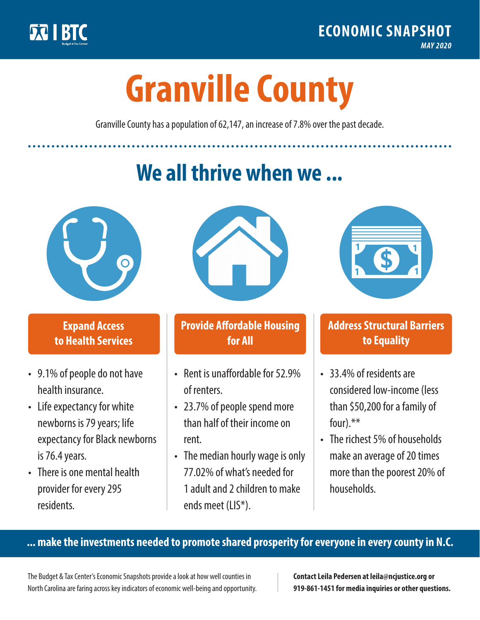

**1**

# **Granville County**

Granville County has a population of 62,147, an increase of 7.8% over the past decade.

# **We all thrive when we ...**



**\$ <sup>1</sup>**

**\$ <sup>1</sup>**

#### **Expand Access to Health Services**

- 9.1% of people do not have health insurance.
- Life expectancy for white newborns is 79 years; life expectancy for Black newborns is 76.4 years.
- There is one mental health provider for every 295 residents.



## **Provide Affordable Housing for All**

- Rent is unaffordable for 52.9% of renters.
- 23.7% of people spend more than half of their income on rent.
- The median hourly wage is only 77.02% of what's needed for 1 adult and 2 children to make ends meet (LIS\*).



## **Address Structural Barriers to Equality**

- 33.4% of residents are considered low-income (less than \$50,200 for a family of four).\*\*
- The richest 5% of households make an average of 20 times more than the poorest 20% of households.

#### **... make the investments needed to promote shared prosperity for everyone in every county in N.C.**

The Budget & Tax Center's Economic Snapshots provide a look at how well counties in North Carolina are faring across key indicators of economic well-being and opportunity.